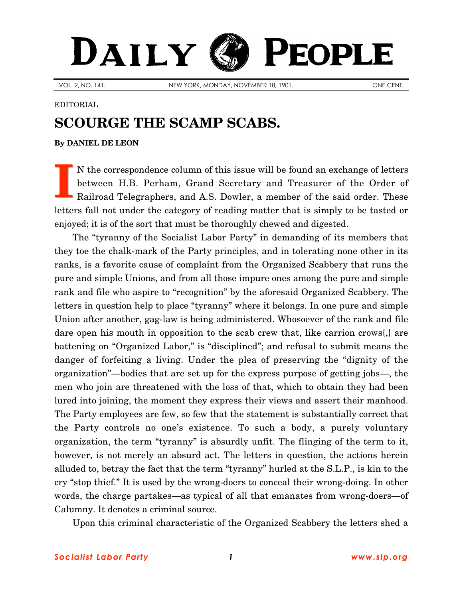## DAILY PEOPLE

VOL. 2, NO. 141. NEW YORK, MONDAY, NOVEMBER 18, 1901. ONE CENT.

## EDITORIAL

## **SCOURGE THE SCAMP SCABS.**

**By [DANIEL DE LEON](http://www.slp.org/De_Leon.htm)**

N the correspondence column of this issue will be found an exchange of letters between H.B. Perham, Grand Secretary and Treasurer of the Order of Railroad Telegraphers, and A.S. Dowler, a member of the said order. These letters fall not under the category of reading matter that is simply to be tasted or enjoyed; it is of the sort that must be thoroughly chewed and digested. **I**

The "tyranny of the Socialist Labor Party" in demanding of its members that they toe the chalk-mark of the Party principles, and in tolerating none other in its ranks, is a favorite cause of complaint from the Organized Scabbery that runs the pure and simple Unions, and from all those impure ones among the pure and simple rank and file who aspire to "recognition" by the aforesaid Organized Scabbery. The letters in question help to place "tyranny" where it belongs. In one pure and simple Union after another, gag-law is being administered. Whosoever of the rank and file dare open his mouth in opposition to the scab crew that, like carrion crows{,} are battening on "Organized Labor," is "disciplined"; and refusal to submit means the danger of forfeiting a living. Under the plea of preserving the "dignity of the organization"—bodies that are set up for the express purpose of getting jobs—, the men who join are threatened with the loss of that, which to obtain they had been lured into joining, the moment they express their views and assert their manhood. The Party employees are few, so few that the statement is substantially correct that the Party controls no one's existence. To such a body, a purely voluntary organization, the term "tyranny" is absurdly unfit. The flinging of the term to it, however, is not merely an absurd act. The letters in question, the actions herein alluded to, betray the fact that the term "tyranny" hurled at the S.L.P., is kin to the cry "stop thief." It is used by the wrong-doers to conceal their wrong-doing. In other words, the charge partakes—as typical of all that emanates from wrong-doers—of Calumny. It denotes a criminal source.

Upon this criminal characteristic of the Organized Scabbery the letters shed a